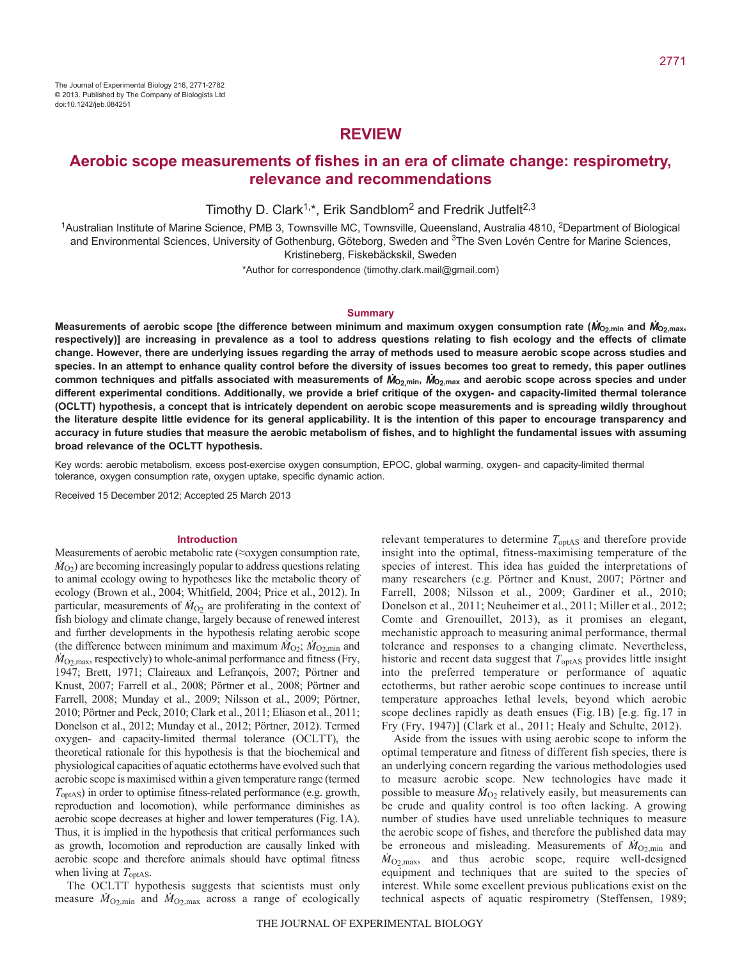# **REVIEW**

# **Aerobic scope measurements of fishes in an era of climate change: respirometry, relevance and recommendations**

Timothy D. Clark<sup>1,\*</sup>, Erik Sandblom<sup>2</sup> and Fredrik Jutfelt<sup>2,3</sup>

<sup>1</sup>Australian Institute of Marine Science, PMB 3, Townsville MC, Townsville, Queensland, Australia 4810, <sup>2</sup>Department of Biological and Environmental Sciences, University of Gothenburg, Göteborg, Sweden and <sup>3</sup>The Sven Lovén Centre for Marine Sciences,

Kristineberg, Fiskebäckskil, Sweden

\*Author for correspondence (timothy.clark.mail@gmail.com)

### **Summary**

Measurements of aerobic scope [the difference between minimum and maximum oxygen consumption rate ( $\dot{M}_{O_2,min}$  and  $\dot{M}_{O_2,max}$ , **respectively)] are increasing in prevalence as a tool to address questions relating to fish ecology and the effects of climate change. However, there are underlying issues regarding the array of methods used to measure aerobic scope across studies and species. In an attempt to enhance quality control before the diversity of issues becomes too great to remedy, this paper outlines** common techniques and pitfalls associated with measurements of  $M_{O_2,min}$ ,  $M_{O_2,max}$  and aerobic scope across species and under **different experimental conditions. Additionally, we provide a brief critique of the oxygen- and capacity-limited thermal tolerance (OCLTT) hypothesis, a concept that is intricately dependent on aerobic scope measurements and is spreading wildly throughout the literature despite little evidence for its general applicability. It is the intention of this paper to encourage transparency and accuracy in future studies that measure the aerobic metabolism of fishes, and to highlight the fundamental issues with assuming broad relevance of the OCLTT hypothesis.**

Key words: aerobic metabolism, excess post-exercise oxygen consumption, EPOC, global warming, oxygen- and capacity-limited thermal tolerance, oxygen consumption rate, oxygen uptake, specific dynamic action.

Received 15 December 2012; Accepted 25 March 2013

## **Introduction**

Measurements of aerobic metabolic rate (≈oxygen consumption rate,  $\dot{M}_{\text{O}_2}$ ) are becoming increasingly popular to address questions relating to animal ecology owing to hypotheses like the metabolic theory of ecology (Brown et al., 2004; Whitfield, 2004; Price et al., 2012). In particular, measurements of  $\dot{M}_{O2}$  are proliferating in the context of fish biology and climate change, largely because of renewed interest and further developments in the hypothesis relating aerobic scope (the difference between minimum and maximum  $\dot{M}_{\text{O}_2}$ ;  $\dot{M}_{\text{O}_2,\text{min}}$  and  $\dot{M}_{\text{O2,max}}$ , respectively) to whole-animal performance and fitness (Fry, 1947; Brett, 1971; Claireaux and Lefrançois, 2007; Pörtner and Knust, 2007; Farrell et al., 2008; Pörtner et al., 2008; Pörtner and Farrell, 2008; Munday et al., 2009; Nilsson et al., 2009; Pörtner, 2010; Pörtner and Peck, 2010; Clark et al., 2011; Eliason et al., 2011; Donelson et al., 2012; Munday et al., 2012; Pörtner, 2012). Termed oxygen- and capacity-limited thermal tolerance (OCLTT), the theoretical rationale for this hypothesis is that the biochemical and physiological capacities of aquatic ectotherms have evolved such that aerobic scope is maximised within a given temperature range (termed *T*optAS) in order to optimise fitness-related performance (e.g. growth, reproduction and locomotion), while performance diminishes as aerobic scope decreases at higher and lower temperatures (Fig.1A). Thus, it is implied in the hypothesis that critical performances such as growth, locomotion and reproduction are causally linked with aerobic scope and therefore animals should have optimal fitness when living at  $T_{optAS}$ .

The OCLTT hypothesis suggests that scientists must only measure  $\dot{M}_{\text{O2,min}}$  and  $\dot{M}_{\text{O2,max}}$  across a range of ecologically

relevant temperatures to determine  $T_{optAS}$  and therefore provide insight into the optimal, fitness-maximising temperature of the species of interest. This idea has guided the interpretations of many researchers (e.g. Pörtner and Knust, 2007; Pörtner and Farrell, 2008; Nilsson et al., 2009; Gardiner et al., 2010; Donelson et al., 2011; Neuheimer et al., 2011; Miller et al., 2012; Comte and Grenouillet, 2013), as it promises an elegant, mechanistic approach to measuring animal performance, thermal tolerance and responses to a changing climate. Nevertheless, historic and recent data suggest that  $T_{optAS}$  provides little insight into the preferred temperature or performance of aquatic ectotherms, but rather aerobic scope continues to increase until temperature approaches lethal levels, beyond which aerobic scope declines rapidly as death ensues (Fig. 1B) [e.g. fig. 17 in Fry (Fry, 1947)] (Clark et al., 2011; Healy and Schulte, 2012).

Aside from the issues with using aerobic scope to inform the optimal temperature and fitness of different fish species, there is an underlying concern regarding the various methodologies used to measure aerobic scope. New technologies have made it possible to measure  $\dot{M}_{O2}$  relatively easily, but measurements can be crude and quality control is too often lacking. A growing number of studies have used unreliable techniques to measure the aerobic scope of fishes, and therefore the published data may be erroneous and misleading. Measurements of  $\dot{M}_{\text{O}_2,\text{min}}$  and  $M_{\text{O2,max}}$ , and thus aerobic scope, require well-designed equipment and techniques that are suited to the species of interest. While some excellent previous publications exist on the technical aspects of aquatic respirometry (Steffensen, 1989;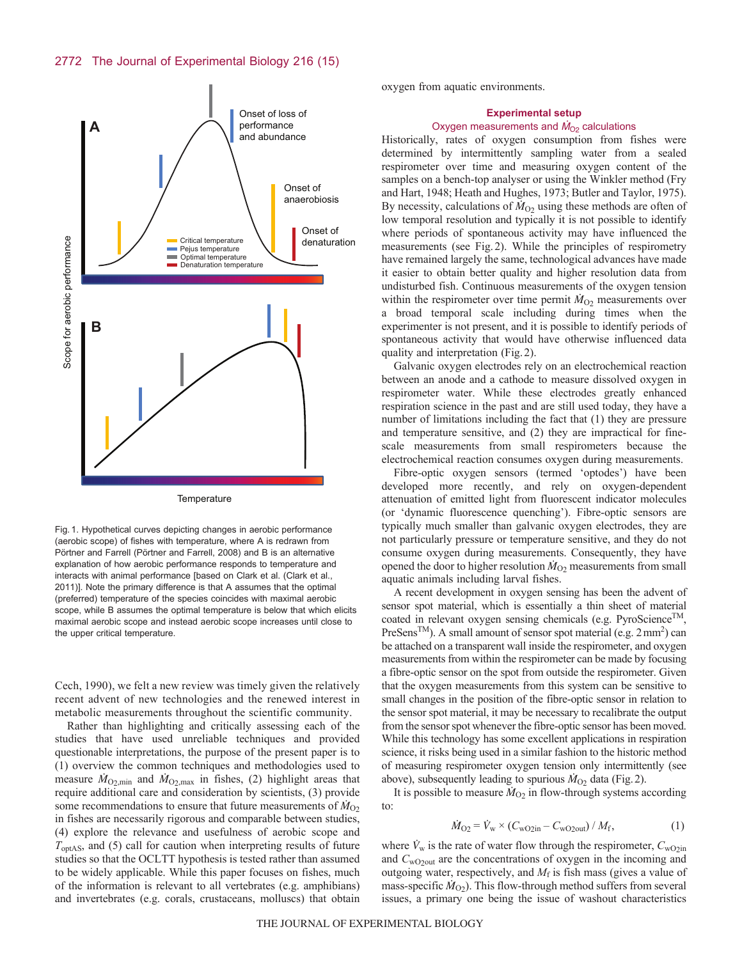

Fig. 1. Hypothetical curves depicting changes in aerobic performance (aerobic scope) of fishes with temperature, where A is redrawn from Pörtner and Farrell (Pörtner and Farrell, 2008) and B is an alternative explanation of how aerobic performance responds to temperature and interacts with animal performance [based on Clark et al. (Clark et al., 2011)]. Note the primary difference is that A assumes that the optimal (preferred) temperature of the species coincides with maximal aerobic scope, while B assumes the optimal temperature is below that which elicits maximal aerobic scope and instead aerobic scope increases until close to the upper critical temperature.

Cech, 1990), we felt a new review was timely given the relatively recent advent of new technologies and the renewed interest in metabolic measurements throughout the scientific community.

Rather than highlighting and critically assessing each of the studies that have used unreliable techniques and provided questionable interpretations, the purpose of the present paper is to (1) overview the common techniques and methodologies used to measure  $\dot{M}_{\text{O2,min}}$  and  $\dot{M}_{\text{O2,max}}$  in fishes, (2) highlight areas that require additional care and consideration by scientists, (3) provide some recommendations to ensure that future measurements of  $\dot{M}_{\text{O}2}$ in fishes are necessarily rigorous and comparable between studies, (4) explore the relevance and usefulness of aerobic scope and *T*optAS, and (5) call for caution when interpreting results of future studies so that the OCLTT hypothesis is tested rather than assumed to be widely applicable. While this paper focuses on fishes, much of the information is relevant to all vertebrates (e.g. amphibians) and invertebrates (e.g. corals, crustaceans, molluscs) that obtain oxygen from aquatic environments.

## **Experimental setup**

# Oxygen measurements and  $\dot{M}_{O_2}$  calculations

Historically, rates of oxygen consumption from fishes were determined by intermittently sampling water from a sealed respirometer over time and measuring oxygen content of the samples on a bench-top analyser or using the Winkler method (Fry and Hart, 1948; Heath and Hughes, 1973; Butler and Taylor, 1975). By necessity, calculations of  $\dot{M}_{O2}$  using these methods are often of low temporal resolution and typically it is not possible to identify where periods of spontaneous activity may have influenced the measurements (see Fig.2). While the principles of respirometry have remained largely the same, technological advances have made it easier to obtain better quality and higher resolution data from undisturbed fish. Continuous measurements of the oxygen tension within the respirometer over time permit  $\dot{M}_{O2}$  measurements over a broad temporal scale including during times when the experimenter is not present, and it is possible to identify periods of spontaneous activity that would have otherwise influenced data quality and interpretation (Fig.2).

Galvanic oxygen electrodes rely on an electrochemical reaction between an anode and a cathode to measure dissolved oxygen in respirometer water. While these electrodes greatly enhanced respiration science in the past and are still used today, they have a number of limitations including the fact that (1) they are pressure and temperature sensitive, and (2) they are impractical for finescale measurements from small respirometers because the electrochemical reaction consumes oxygen during measurements.

Fibre-optic oxygen sensors (termed 'optodes') have been developed more recently, and rely on oxygen-dependent attenuation of emitted light from fluorescent indicator molecules (or 'dynamic fluorescence quenching'). Fibre-optic sensors are typically much smaller than galvanic oxygen electrodes, they are not particularly pressure or temperature sensitive, and they do not consume oxygen during measurements. Consequently, they have opened the door to higher resolution  $\dot{M}_{O2}$  measurements from small aquatic animals including larval fishes.

A recent development in oxygen sensing has been the advent of sensor spot material, which is essentially a thin sheet of material coated in relevant oxygen sensing chemicals (e.g. PyroScience<sup>TM</sup>, PreSens<sup>TM</sup>). A small amount of sensor spot material (e.g. 2mm<sup>2</sup>) can be attached on a transparent wall inside the respirometer, and oxygen measurements from within the respirometer can be made by focusing a fibre-optic sensor on the spot from outside the respirometer. Given that the oxygen measurements from this system can be sensitive to small changes in the position of the fibre-optic sensor in relation to the sensor spot material, it may be necessary to recalibrate the output from the sensor spot whenever the fibre-optic sensor has been moved. While this technology has some excellent applications in respiration science, it risks being used in a similar fashion to the historic method of measuring respirometer oxygen tension only intermittently (see above), subsequently leading to spurious  $\dot{M}_{O2}$  data (Fig. 2).

It is possible to measure  $\dot{M}_{O_2}$  in flow-through systems according to:

$$
\dot{M}_{\text{O}_2} = \dot{V}_{\text{w}} \times (C_{\text{wO}_2 \text{in}} - C_{\text{wO}_2 \text{out}}) / M_{\text{f}}, \tag{1}
$$

where  $\dot{V}_{\text{w}}$  is the rate of water flow through the respirometer,  $C_{\text{wO}_2\text{in}}$ and  $C_{\text{wO2out}}$  are the concentrations of oxygen in the incoming and outgoing water, respectively, and  $M_f$  is fish mass (gives a value of mass-specific  $\dot{M}_{O2}$ ). This flow-through method suffers from several issues, a primary one being the issue of washout characteristics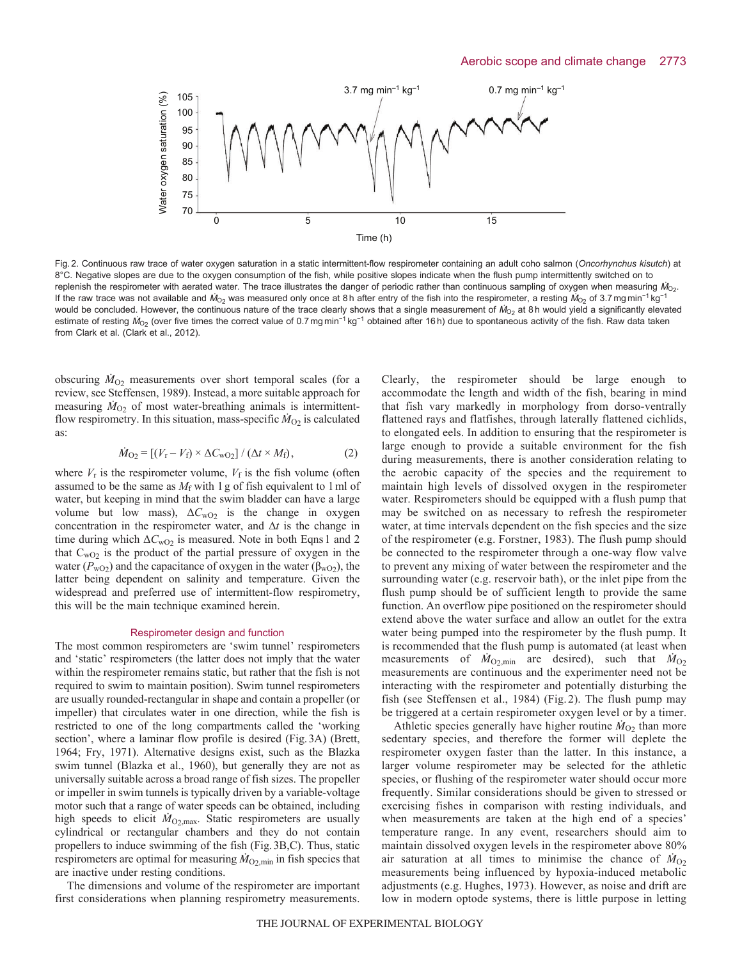

Fig. 2. Continuous raw trace of water oxygen saturation in a static intermittent-flow respirometer containing an adult coho salmon (*Oncorhynchus kisutch*) at 8°C. Negative slopes are due to the oxygen consumption of the fish, while positive slopes indicate when the flush pump intermittently switched on to replenish the respirometer with aerated water. The trace illustrates the danger of periodic rather than continuous sampling of oxygen when measuring  $M_{O2}$ . If the raw trace was not available and *M*<sub>O2</sub> was measured only once at 8 h after entry of the fish into the respirometer, a resting *M*<sub>O2</sub> of 3.7 mg min<sup>−1</sup> kg<sup>-1</sup> would be concluded. However, the continuous nature of the trace clearly shows that a single measurement of  $M_{O2}$  at 8h would yield a significantly elevated estimate of resting  $M_{\text{O}_2}$  (over five times the correct value of 0.7 mg min<sup>-1</sup> kg<sup>-1</sup> obtained after 16 h) due to spontaneous activity of the fish. Raw data taken from Clark et al. (Clark et al., 2012).

obscuring  $\dot{M}_{\text{O2}}$  measurements over short temporal scales (for a review, see Steffensen, 1989). Instead, a more suitable approach for measuring  $\dot{M}_{O_2}$  of most water-breathing animals is intermittentflow respirometry. In this situation, mass-specific  $\dot{M}_{O2}$  is calculated as:

$$
\dot{M}_{\text{O}_2} = \left[ (V_{\text{r}} - V_{\text{f}}) \times \Delta C_{\text{wO}_2} \right] / \left( \Delta t \times M_{\text{f}} \right),\tag{2}
$$

where  $V_r$  is the respirometer volume,  $V_f$  is the fish volume (often assumed to be the same as  $M_f$  with 1 g of fish equivalent to 1 ml of water, but keeping in mind that the swim bladder can have a large volume but low mass),  $\Delta C_{\text{wO}_2}$  is the change in oxygen concentration in the respirometer water, and Δ*t* is the change in time during which  $\Delta C_{\text{wO2}}$  is measured. Note in both Eqns 1 and 2 that  $C_{\rm wO2}$  is the product of the partial pressure of oxygen in the water ( $P_{\text{wO}_2}$ ) and the capacitance of oxygen in the water ( $\beta_{\text{wO}_2}$ ), the latter being dependent on salinity and temperature. Given the widespread and preferred use of intermittent-flow respirometry, this will be the main technique examined herein.

### Respirometer design and function

The most common respirometers are 'swim tunnel' respirometers and 'static' respirometers (the latter does not imply that the water within the respirometer remains static, but rather that the fish is not required to swim to maintain position). Swim tunnel respirometers are usually rounded-rectangular in shape and contain a propeller (or impeller) that circulates water in one direction, while the fish is restricted to one of the long compartments called the 'working section', where a laminar flow profile is desired (Fig.3A) (Brett, 1964; Fry, 1971). Alternative designs exist, such as the Blazka swim tunnel (Blazka et al., 1960), but generally they are not as universally suitable across a broad range of fish sizes. The propeller or impeller in swim tunnels is typically driven by a variable-voltage motor such that a range of water speeds can be obtained, including high speeds to elicit  $\dot{M}_{\text{O2,max}}$ . Static respirometers are usually cylindrical or rectangular chambers and they do not contain propellers to induce swimming of the fish (Fig.3B,C). Thus, static respirometers are optimal for measuring  $M_{\text{O2,min}}$  in fish species that are inactive under resting conditions.

The dimensions and volume of the respirometer are important first considerations when planning respirometry measurements. Clearly, the respirometer should be large enough to accommodate the length and width of the fish, bearing in mind that fish vary markedly in morphology from dorso-ventrally flattened rays and flatfishes, through laterally flattened cichlids, to elongated eels. In addition to ensuring that the respirometer is large enough to provide a suitable environment for the fish during measurements, there is another consideration relating to the aerobic capacity of the species and the requirement to maintain high levels of dissolved oxygen in the respirometer water. Respirometers should be equipped with a flush pump that may be switched on as necessary to refresh the respirometer water, at time intervals dependent on the fish species and the size of the respirometer (e.g. Forstner, 1983). The flush pump should be connected to the respirometer through a one-way flow valve to prevent any mixing of water between the respirometer and the surrounding water (e.g. reservoir bath), or the inlet pipe from the flush pump should be of sufficient length to provide the same function. An overflow pipe positioned on the respirometer should extend above the water surface and allow an outlet for the extra water being pumped into the respirometer by the flush pump. It is recommended that the flush pump is automated (at least when measurements of  $\dot{M}_{\text{O2,min}}$  are desired), such that  $\dot{M}_{\text{O2}}$ measurements are continuous and the experimenter need not be interacting with the respirometer and potentially disturbing the fish (see Steffensen et al., 1984) (Fig. 2). The flush pump may be triggered at a certain respirometer oxygen level or by a timer.

Athletic species generally have higher routine  $\dot{M}_{O2}$  than more sedentary species, and therefore the former will deplete the respirometer oxygen faster than the latter. In this instance, a larger volume respirometer may be selected for the athletic species, or flushing of the respirometer water should occur more frequently. Similar considerations should be given to stressed or exercising fishes in comparison with resting individuals, and when measurements are taken at the high end of a species' temperature range. In any event, researchers should aim to maintain dissolved oxygen levels in the respirometer above 80% air saturation at all times to minimise the chance of  $\dot{M}_{O2}$ measurements being influenced by hypoxia-induced metabolic adjustments (e.g. Hughes, 1973). However, as noise and drift are low in modern optode systems, there is little purpose in letting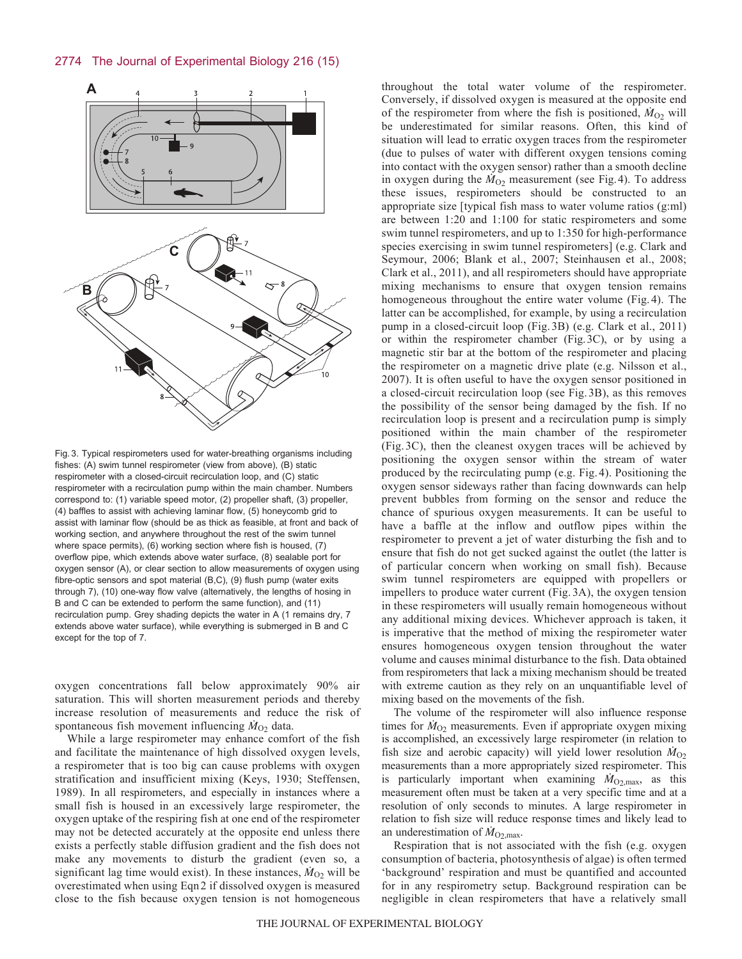

Fig. 3. Typical respirometers used for water-breathing organisms including fishes: (A) swim tunnel respirometer (view from above), (B) static respirometer with a closed-circuit recirculation loop, and (C) static respirometer with a recirculation pump within the main chamber. Numbers correspond to: (1) variable speed motor, (2) propeller shaft, (3) propeller, (4) baffles to assist with achieving laminar flow, (5) honeycomb grid to assist with laminar flow (should be as thick as feasible, at front and back of working section, and anywhere throughout the rest of the swim tunnel where space permits), (6) working section where fish is housed, (7) overflow pipe, which extends above water surface, (8) sealable port for oxygen sensor (A), or clear section to allow measurements of oxygen using fibre-optic sensors and spot material (B,C), (9) flush pump (water exits through 7), (10) one-way flow valve (alternatively, the lengths of hosing in B and C can be extended to perform the same function), and (11) recirculation pump. Grey shading depicts the water in A (1 remains dry, 7 extends above water surface), while everything is submerged in B and C except for the top of 7.

oxygen concentrations fall below approximately 90% air saturation. This will shorten measurement periods and thereby increase resolution of measurements and reduce the risk of spontaneous fish movement influencing  $\dot{M}_{O2}$  data.

While a large respirometer may enhance comfort of the fish and facilitate the maintenance of high dissolved oxygen levels, a respirometer that is too big can cause problems with oxygen stratification and insufficient mixing (Keys, 1930; Steffensen, 1989). In all respirometers, and especially in instances where a small fish is housed in an excessively large respirometer, the oxygen uptake of the respiring fish at one end of the respirometer may not be detected accurately at the opposite end unless there exists a perfectly stable diffusion gradient and the fish does not make any movements to disturb the gradient (even so, a significant lag time would exist). In these instances,  $\dot{M}_{O2}$  will be overestimated when using Eqn 2 if dissolved oxygen is measured close to the fish because oxygen tension is not homogeneous throughout the total water volume of the respirometer. Conversely, if dissolved oxygen is measured at the opposite end of the respirometer from where the fish is positioned,  $\dot{M}_{O2}$  will be underestimated for similar reasons. Often, this kind of situation will lead to erratic oxygen traces from the respirometer (due to pulses of water with different oxygen tensions coming into contact with the oxygen sensor) rather than a smooth decline in oxygen during the  $\dot{M}_{O2}$  measurement (see Fig. 4). To address these issues, respirometers should be constructed to an appropriate size [typical fish mass to water volume ratios (g:ml) are between 1:20 and 1:100 for static respirometers and some swim tunnel respirometers, and up to 1:350 for high-performance species exercising in swim tunnel respirometers] (e.g. Clark and Seymour, 2006; Blank et al., 2007; Steinhausen et al., 2008; Clark et al., 2011), and all respirometers should have appropriate mixing mechanisms to ensure that oxygen tension remains homogeneous throughout the entire water volume (Fig. 4). The latter can be accomplished, for example, by using a recirculation pump in a closed-circuit loop (Fig. 3B) (e.g. Clark et al., 2011) or within the respirometer chamber (Fig.3C), or by using a magnetic stir bar at the bottom of the respirometer and placing the respirometer on a magnetic drive plate (e.g. Nilsson et al., 2007). It is often useful to have the oxygen sensor positioned in a closed-circuit recirculation loop (see Fig. 3B), as this removes the possibility of the sensor being damaged by the fish. If no recirculation loop is present and a recirculation pump is simply positioned within the main chamber of the respirometer (Fig. 3C), then the cleanest oxygen traces will be achieved by positioning the oxygen sensor within the stream of water produced by the recirculating pump (e.g. Fig. 4). Positioning the oxygen sensor sideways rather than facing downwards can help prevent bubbles from forming on the sensor and reduce the chance of spurious oxygen measurements. It can be useful to have a baffle at the inflow and outflow pipes within the respirometer to prevent a jet of water disturbing the fish and to ensure that fish do not get sucked against the outlet (the latter is of particular concern when working on small fish). Because swim tunnel respirometers are equipped with propellers or impellers to produce water current (Fig. 3A), the oxygen tension in these respirometers will usually remain homogeneous without any additional mixing devices. Whichever approach is taken, it is imperative that the method of mixing the respirometer water ensures homogeneous oxygen tension throughout the water volume and causes minimal disturbance to the fish. Data obtained from respirometers that lack a mixing mechanism should be treated with extreme caution as they rely on an unquantifiable level of mixing based on the movements of the fish.

The volume of the respirometer will also influence response times for  $\dot{M}_{O2}$  measurements. Even if appropriate oxygen mixing is accomplished, an excessively large respirometer (in relation to fish size and aerobic capacity) will yield lower resolution  $\dot{M}_{O2}$ measurements than a more appropriately sized respirometer. This is particularly important when examining  $\dot{M}_{\text{O2,max}}$ , as this measurement often must be taken at a very specific time and at a resolution of only seconds to minutes. A large respirometer in relation to fish size will reduce response times and likely lead to an underestimation of  $\dot{M}_{\text{O2,max}}$ .

Respiration that is not associated with the fish (e.g. oxygen consumption of bacteria, photosynthesis of algae) is often termed 'background' respiration and must be quantified and accounted for in any respirometry setup. Background respiration can be negligible in clean respirometers that have a relatively small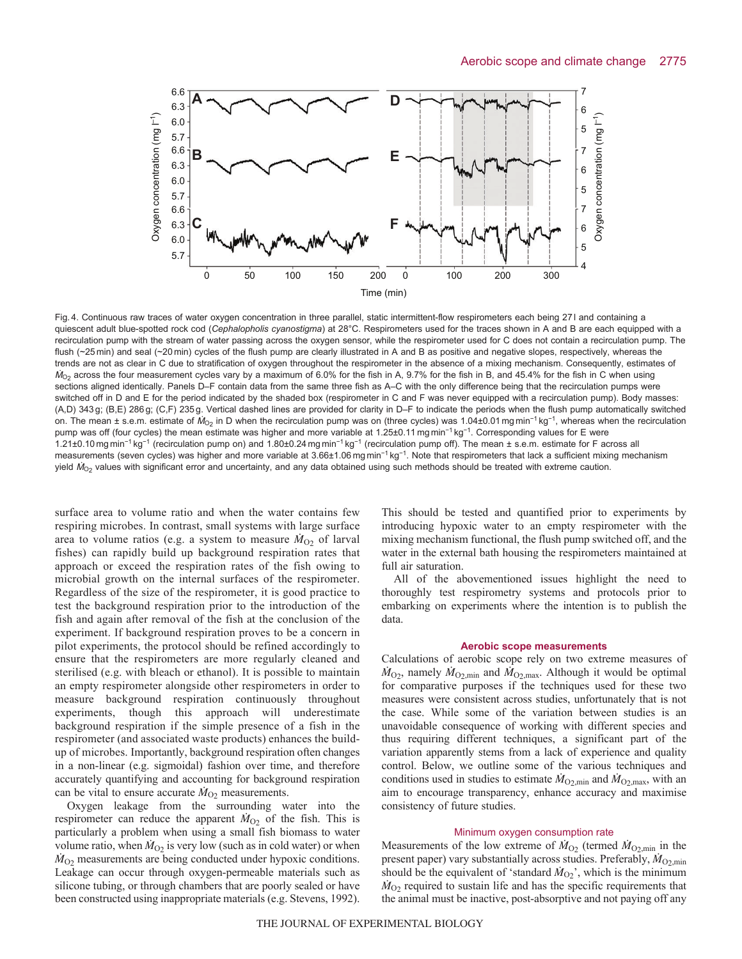

Fig. 4. Continuous raw traces of water oxygen concentration in three parallel, static intermittent-flow respirometers each being 27 l and containing a quiescent adult blue-spotted rock cod (*Cephalopholis cyanostigma*) at 28°C. Respirometers used for the traces shown in A and B are each equipped with a recirculation pump with the stream of water passing across the oxygen sensor, while the respirometer used for C does not contain a recirculation pump. The flush (~25 min) and seal (~20 min) cycles of the flush pump are clearly illustrated in A and B as positive and negative slopes, respectively, whereas the trends are not as clear in C due to stratification of oxygen throughout the respirometer in the absence of a mixing mechanism. Consequently, estimates of  $M_{\odot}$  across the four measurement cycles vary by a maximum of 6.0% for the fish in A, 9.7% for the fish in B, and 45.4% for the fish in C when using sections aligned identically. Panels D–F contain data from the same three fish as A–C with the only difference being that the recirculation pumps were switched off in D and E for the period indicated by the shaded box (respirometer in C and F was never equipped with a recirculation pump). Body masses: (A,D) 343 g; (B,E) 286 g; (C,F) 235 g. Vertical dashed lines are provided for clarity in D–F to indicate the periods when the flush pump automatically switched on. The mean ± s.e.m. estimate of M<sub>O2</sub> in D when the recirculation pump was on (three cycles) was 1.04±0.01 mg min<sup>-1</sup> kg<sup>-1</sup>, whereas when the recirculation pump was off (four cycles) the mean estimate was higher and more variable at 1.25±0.11 mg min<sup>-1</sup> kg<sup>-1</sup>. Corresponding values for E were 1.21±0.10 mg min<sup>−</sup><sup>1</sup> kg<sup>−</sup><sup>1</sup> (recirculation pump on) and 1.80±0.24 mg min<sup>−</sup><sup>1</sup> kg<sup>−</sup><sup>1</sup> (recirculation pump off). The mean ± s.e.m. estimate for F across all measurements (seven cycles) was higher and more variable at 3.66±1.06 mg min<sup>-1</sup> kg<sup>-1</sup>. Note that respirometers that lack a sufficient mixing mechanism yield  $M_{\odot}$  values with significant error and uncertainty, and any data obtained using such methods should be treated with extreme caution.

surface area to volume ratio and when the water contains few respiring microbes. In contrast, small systems with large surface area to volume ratios (e.g. a system to measure  $\dot{M}_{O2}$  of larval fishes) can rapidly build up background respiration rates that approach or exceed the respiration rates of the fish owing to microbial growth on the internal surfaces of the respirometer. Regardless of the size of the respirometer, it is good practice to test the background respiration prior to the introduction of the fish and again after removal of the fish at the conclusion of the experiment. If background respiration proves to be a concern in pilot experiments, the protocol should be refined accordingly to ensure that the respirometers are more regularly cleaned and sterilised (e.g. with bleach or ethanol). It is possible to maintain an empty respirometer alongside other respirometers in order to measure background respiration continuously throughout experiments, though this approach will underestimate background respiration if the simple presence of a fish in the respirometer (and associated waste products) enhances the buildup of microbes. Importantly, background respiration often changes in a non-linear (e.g. sigmoidal) fashion over time, and therefore accurately quantifying and accounting for background respiration can be vital to ensure accurate  $\dot{M}_{O_2}$  measurements.

Oxygen leakage from the surrounding water into the respirometer can reduce the apparent  $\dot{M}_{O2}$  of the fish. This is particularly a problem when using a small fish biomass to water volume ratio, when  $\dot{M}_{O_2}$  is very low (such as in cold water) or when  $\dot{M}_{O2}$  measurements are being conducted under hypoxic conditions. Leakage can occur through oxygen-permeable materials such as silicone tubing, or through chambers that are poorly sealed or have been constructed using inappropriate materials (e.g. Stevens, 1992). This should be tested and quantified prior to experiments by introducing hypoxic water to an empty respirometer with the mixing mechanism functional, the flush pump switched off, and the water in the external bath housing the respirometers maintained at full air saturation.

All of the abovementioned issues highlight the need to thoroughly test respirometry systems and protocols prior to embarking on experiments where the intention is to publish the data.

## **Aerobic scope measurements**

Calculations of aerobic scope rely on two extreme measures of  $\dot{M}_{\text{O}_2}$ , namely  $\dot{M}_{\text{O}_2,\text{min}}$  and  $\dot{M}_{\text{O}_2,\text{max}}$ . Although it would be optimal for comparative purposes if the techniques used for these two measures were consistent across studies, unfortunately that is not the case. While some of the variation between studies is an unavoidable consequence of working with different species and thus requiring different techniques, a significant part of the variation apparently stems from a lack of experience and quality control. Below, we outline some of the various techniques and conditions used in studies to estimate  $\dot{M}_{\text{O2,min}}$  and  $\dot{M}_{\text{O2,max}}$ , with an aim to encourage transparency, enhance accuracy and maximise consistency of future studies.

#### Minimum oxygen consumption rate

Measurements of the low extreme of  $\dot{M}_{O_2}$  (termed  $\dot{M}_{O_2,min}$  in the present paper) vary substantially across studies. Preferably,  $\dot{M}_{\text{O2,min}}$ should be the equivalent of 'standard  $\dot{M}_{O_2}$ ', which is the minimum  $\dot{M}_{O_2}$  required to sustain life and has the specific requirements that the animal must be inactive, post-absorptive and not paying off any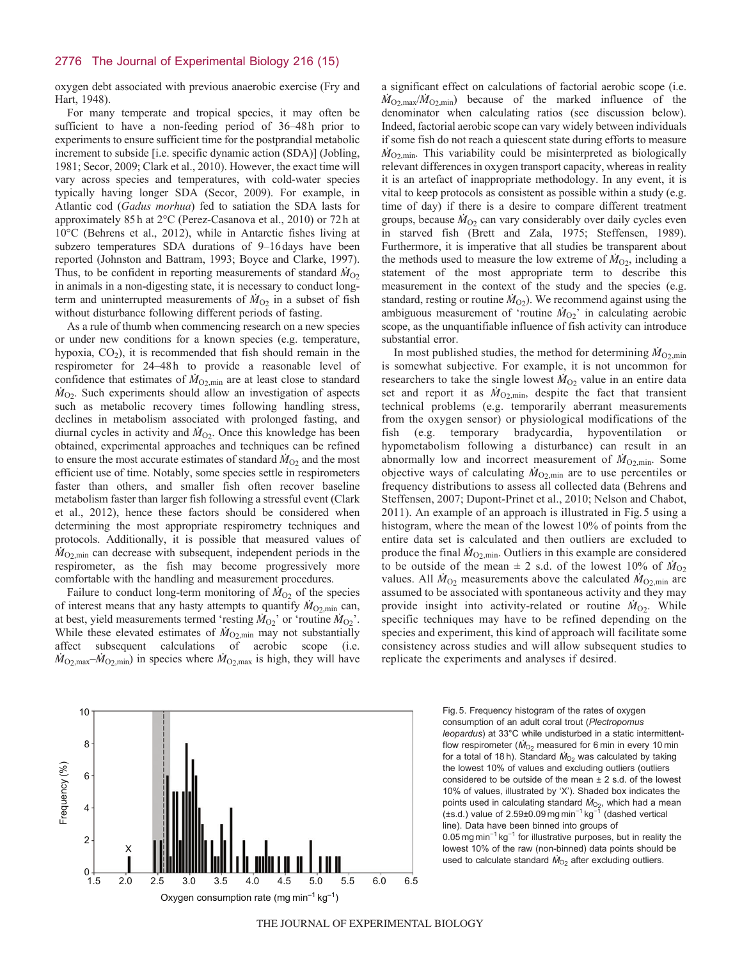oxygen debt associated with previous anaerobic exercise (Fry and Hart, 1948).

For many temperate and tropical species, it may often be sufficient to have a non-feeding period of 36–48h prior to experiments to ensure sufficient time for the postprandial metabolic increment to subside [i.e. specific dynamic action (SDA)] (Jobling, 1981; Secor, 2009; Clark et al., 2010). However, the exact time will vary across species and temperatures, with cold-water species typically having longer SDA (Secor, 2009). For example, in Atlantic cod (*Gadus morhua*) fed to satiation the SDA lasts for approximately 85h at 2°C (Perez-Casanova et al., 2010) or 72h at 10°C (Behrens et al., 2012), while in Antarctic fishes living at subzero temperatures SDA durations of 9–16days have been reported (Johnston and Battram, 1993; Boyce and Clarke, 1997). Thus, to be confident in reporting measurements of standard  $\dot{M}_{O2}$ in animals in a non-digesting state, it is necessary to conduct longterm and uninterrupted measurements of  $\dot{M}_{O2}$  in a subset of fish without disturbance following different periods of fasting.

As a rule of thumb when commencing research on a new species or under new conditions for a known species (e.g. temperature, hypoxia,  $CO<sub>2</sub>$ ), it is recommended that fish should remain in the respirometer for 24–48h to provide a reasonable level of confidence that estimates of  $\dot{M}_{\text{O2,min}}$  are at least close to standard  $\dot{M}_{\text{O}_2}$ . Such experiments should allow an investigation of aspects such as metabolic recovery times following handling stress, declines in metabolism associated with prolonged fasting, and diurnal cycles in activity and  $\dot{M}_{O_2}$ . Once this knowledge has been obtained, experimental approaches and techniques can be refined to ensure the most accurate estimates of standard  $\dot{M}_{O2}$  and the most efficient use of time. Notably, some species settle in respirometers faster than others, and smaller fish often recover baseline metabolism faster than larger fish following a stressful event (Clark et al., 2012), hence these factors should be considered when determining the most appropriate respirometry techniques and protocols. Additionally, it is possible that measured values of  $\dot{M}_{\text{O2,min}}$  can decrease with subsequent, independent periods in the respirometer, as the fish may become progressively more comfortable with the handling and measurement procedures.

Failure to conduct long-term monitoring of  $M<sub>O2</sub>$  of the species of interest means that any hasty attempts to quantify  $\dot{M}_{\text{O}_2,\text{min}}$  can, at best, yield measurements termed 'resting  $\dot{M}_{O2}$ ' or 'routine  $\dot{M}_{O2}$ '. While these elevated estimates of  $\dot{M}_{\text{O}_2,\text{min}}$  may not substantially affect subsequent calculations of aerobic scope (i.e.  $\dot{M}_{\text{O2,max}} - \dot{M}_{\text{O2,min}}$ ) in species where  $\dot{M}_{\text{O2,max}}$  is high, they will have



a significant effect on calculations of factorial aerobic scope (i.e.  $\dot{M}_{\text{O2,max}}/\dot{M}_{\text{O2,min}}$  because of the marked influence of the denominator when calculating ratios (see discussion below). Indeed, factorial aerobic scope can vary widely between individuals if some fish do not reach a quiescent state during efforts to measure  $\dot{M}_{\text{O2,min}}$ . This variability could be misinterpreted as biologically relevant differences in oxygen transport capacity, whereas in reality it is an artefact of inappropriate methodology. In any event, it is vital to keep protocols as consistent as possible within a study (e.g. time of day) if there is a desire to compare different treatment groups, because  $\dot{M}_{O2}$  can vary considerably over daily cycles even in starved fish (Brett and Zala, 1975; Steffensen, 1989). Furthermore, it is imperative that all studies be transparent about the methods used to measure the low extreme of  $\dot{M}_{O2}$ , including a statement of the most appropriate term to describe this measurement in the context of the study and the species (e.g. standard, resting or routine  $\dot{M}_{O2}$ ). We recommend against using the ambiguous measurement of 'routine  $\dot{M}_{O_2}$ ' in calculating aerobic scope, as the unquantifiable influence of fish activity can introduce substantial error.

In most published studies, the method for determining  $\dot{M}_{\text{O}_2,\text{min}}$ is somewhat subjective. For example, it is not uncommon for researchers to take the single lowest  $M<sub>O2</sub>$  value in an entire data set and report it as  $\dot{M}_{\text{O}_2,\text{min}}$ , despite the fact that transient technical problems (e.g. temporarily aberrant measurements from the oxygen sensor) or physiological modifications of the fish (e.g. temporary bradycardia, hypoventilation or hypometabolism following a disturbance) can result in an abnormally low and incorrect measurement of  $\dot{M}_{\text{O2,min}}$ . Some objective ways of calculating  $\dot{M}_{\text{O}_2,\text{min}}$  are to use percentiles or frequency distributions to assess all collected data (Behrens and Steffensen, 2007; Dupont-Prinet et al., 2010; Nelson and Chabot, 2011). An example of an approach is illustrated in Fig.5 using a histogram, where the mean of the lowest 10% of points from the entire data set is calculated and then outliers are excluded to produce the final  $\dot{M}_{\text{O}_2,\text{min}}$ . Outliers in this example are considered to be outside of the mean  $\pm$  2 s.d. of the lowest 10% of  $\dot{M}_{O2}$ values. All  $\dot{M}_{O2}$  measurements above the calculated  $\dot{M}_{O2,min}$  are assumed to be associated with spontaneous activity and they may provide insight into activity-related or routine  $\dot{M}_{O2}$ . While specific techniques may have to be refined depending on the species and experiment, this kind of approach will facilitate some consistency across studies and will allow subsequent studies to replicate the experiments and analyses if desired.

> Fig. 5. Frequency histogram of the rates of oxygen consumption of an adult coral trout (*Plectropomus leopardus*) at 33°C while undisturbed in a static intermittentflow respirometer ( $\dot{M}_{O2}$  measured for 6 min in every 10 min for a total of 18 h). Standard  $\dot{M}_{O_2}$  was calculated by taking the lowest 10% of values and excluding outliers (outliers considered to be outside of the mean  $\pm$  2 s.d. of the lowest 10% of values, illustrated by 'X'). Shaded box indicates the points used in calculating standard  $\dot{M}_{O_2}$ , which had a mean (±s.d.) value of 2.59±0.09 mg min<sup>−</sup><sup>1</sup> kg<sup>−</sup><sup>1</sup> (dashed vertical line). Data have been binned into groups of 0.05 mg min<sup>−</sup><sup>1</sup> kg<sup>−</sup><sup>1</sup> for illustrative purposes, but in reality the lowest 10% of the raw (non-binned) data points should be used to calculate standard  $\dot{M}_{\odot}$  after excluding outliers.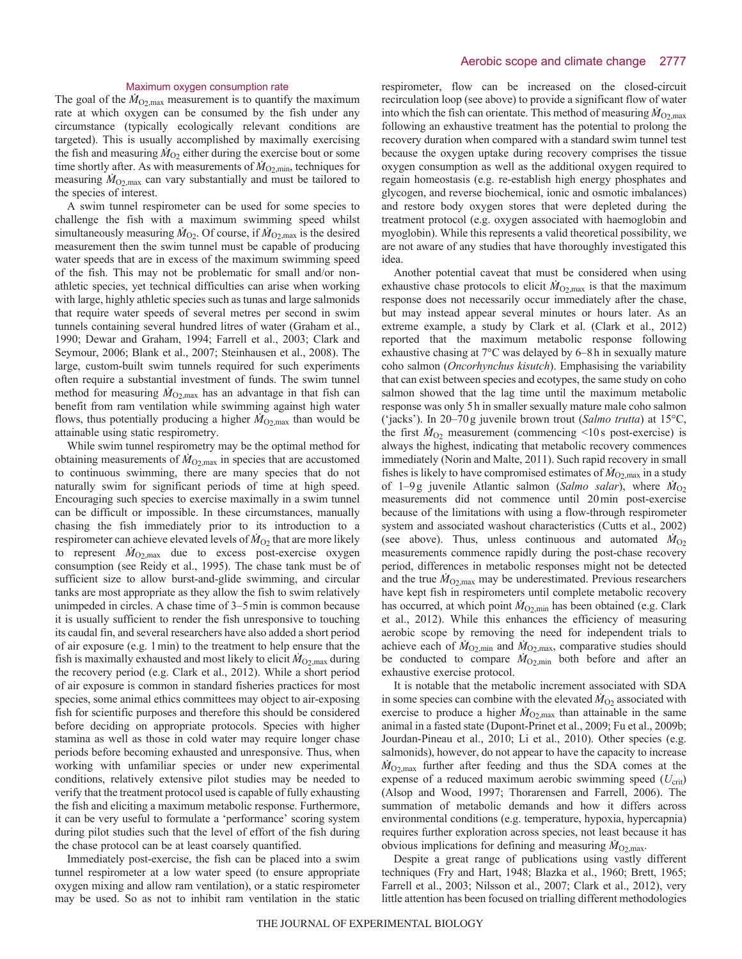## Maximum oxygen consumption rate

The goal of the  $\dot{M}_{\text{O2,max}}$  measurement is to quantify the maximum rate at which oxygen can be consumed by the fish under any circumstance (typically ecologically relevant conditions are targeted). This is usually accomplished by maximally exercising the fish and measuring  $\dot{M}_{O_2}$  either during the exercise bout or some time shortly after. As with measurements of  $\dot{M}_{\text{O}_2,\text{min}}$ , techniques for measuring  $\dot{M}_{\text{O2,max}}$  can vary substantially and must be tailored to the species of interest.

A swim tunnel respirometer can be used for some species to challenge the fish with a maximum swimming speed whilst simultaneously measuring  $\dot{M}_{\text{O}_2}$ . Of course, if  $\dot{M}_{\text{O}_2,\text{max}}$  is the desired measurement then the swim tunnel must be capable of producing water speeds that are in excess of the maximum swimming speed of the fish. This may not be problematic for small and/or nonathletic species, yet technical difficulties can arise when working with large, highly athletic species such as tunas and large salmonids that require water speeds of several metres per second in swim tunnels containing several hundred litres of water (Graham et al., 1990; Dewar and Graham, 1994; Farrell et al., 2003; Clark and Seymour, 2006; Blank et al., 2007; Steinhausen et al., 2008). The large, custom-built swim tunnels required for such experiments often require a substantial investment of funds. The swim tunnel method for measuring  $\dot{M}_{\text{O}_2,\text{max}}$  has an advantage in that fish can benefit from ram ventilation while swimming against high water flows, thus potentially producing a higher  $\dot{M}_{O2, \text{max}}$  than would be attainable using static respirometry.

While swim tunnel respirometry may be the optimal method for obtaining measurements of  $\dot{M}_{\text{O2,max}}$  in species that are accustomed to continuous swimming, there are many species that do not naturally swim for significant periods of time at high speed. Encouraging such species to exercise maximally in a swim tunnel can be difficult or impossible. In these circumstances, manually chasing the fish immediately prior to its introduction to a respirometer can achieve elevated levels of  $\dot{M}_{O2}$  that are more likely to represent  $\dot{M}_{\text{O}_2,\text{max}}$  due to excess post-exercise oxygen consumption (see Reidy et al., 1995). The chase tank must be of sufficient size to allow burst-and-glide swimming, and circular tanks are most appropriate as they allow the fish to swim relatively unimpeded in circles. A chase time of 3–5min is common because it is usually sufficient to render the fish unresponsive to touching its caudal fin, and several researchers have also added a short period of air exposure (e.g. 1min) to the treatment to help ensure that the fish is maximally exhausted and most likely to elicit  $\dot{M}_{\text{O2,max}}$  during the recovery period (e.g. Clark et al., 2012). While a short period of air exposure is common in standard fisheries practices for most species, some animal ethics committees may object to air-exposing fish for scientific purposes and therefore this should be considered before deciding on appropriate protocols. Species with higher stamina as well as those in cold water may require longer chase periods before becoming exhausted and unresponsive. Thus, when working with unfamiliar species or under new experimental conditions, relatively extensive pilot studies may be needed to verify that the treatment protocol used is capable of fully exhausting the fish and eliciting a maximum metabolic response. Furthermore, it can be very useful to formulate a 'performance' scoring system during pilot studies such that the level of effort of the fish during the chase protocol can be at least coarsely quantified.

Immediately post-exercise, the fish can be placed into a swim tunnel respirometer at a low water speed (to ensure appropriate oxygen mixing and allow ram ventilation), or a static respirometer may be used. So as not to inhibit ram ventilation in the static respirometer, flow can be increased on the closed-circuit recirculation loop (see above) to provide a significant flow of water into which the fish can orientate. This method of measuring  $\dot{M}_{\text{O2,max}}$ following an exhaustive treatment has the potential to prolong the recovery duration when compared with a standard swim tunnel test because the oxygen uptake during recovery comprises the tissue oxygen consumption as well as the additional oxygen required to regain homeostasis (e.g. re-establish high energy phosphates and glycogen, and reverse biochemical, ionic and osmotic imbalances) and restore body oxygen stores that were depleted during the treatment protocol (e.g. oxygen associated with haemoglobin and myoglobin). While this represents a valid theoretical possibility, we are not aware of any studies that have thoroughly investigated this idea.

Another potential caveat that must be considered when using exhaustive chase protocols to elicit  $\dot{M}_{\text{O}_2,\text{max}}$  is that the maximum response does not necessarily occur immediately after the chase, but may instead appear several minutes or hours later. As an extreme example, a study by Clark et al. (Clark et al., 2012) reported that the maximum metabolic response following exhaustive chasing at 7°C was delayed by 6–8h in sexually mature coho salmon (*Oncorhynchus kisutch*). Emphasising the variability that can exist between species and ecotypes, the same study on coho salmon showed that the lag time until the maximum metabolic response was only 5h in smaller sexually mature male coho salmon ('jacks'). In 20–70g juvenile brown trout (*Salmo trutta*) at 15°C, the first  $\dot{M}_{O_2}$  measurement (commencing <10s post-exercise) is always the highest, indicating that metabolic recovery commences immediately (Norin and Malte, 2011). Such rapid recovery in small fishes is likely to have compromised estimates of  $\dot{M}_{\text{O2,max}}$  in a study of 1–9g juvenile Atlantic salmon (*Salmo salar*), where  $\dot{M}_{O2}$ measurements did not commence until 20min post-exercise because of the limitations with using a flow-through respirometer system and associated washout characteristics (Cutts et al., 2002) (see above). Thus, unless continuous and automated  $\dot{M}_{O2}$ measurements commence rapidly during the post-chase recovery period, differences in metabolic responses might not be detected and the true  $\dot{M}_{\text{O2,max}}$  may be underestimated. Previous researchers have kept fish in respirometers until complete metabolic recovery has occurred, at which point  $\dot{M}_{\text{O}_2,\text{min}}$  has been obtained (e.g. Clark et al., 2012). While this enhances the efficiency of measuring aerobic scope by removing the need for independent trials to achieve each of  $\dot{M}_{\text{O}_2,\text{min}}$  and  $\dot{M}_{\text{O}_2,\text{max}}$ , comparative studies should be conducted to compare  $\dot{M}_{\text{O2,min}}$  both before and after an exhaustive exercise protocol.

It is notable that the metabolic increment associated with SDA in some species can combine with the elevated  $\dot{M}_{\text{O2}}$  associated with exercise to produce a higher  $\dot{M}_{\text{O}_2,\text{max}}$  than attainable in the same animal in a fasted state (Dupont-Prinet et al., 2009; Fu et al., 2009b; Jourdan-Pineau et al., 2010; Li et al., 2010). Other species (e.g. salmonids), however, do not appear to have the capacity to increase  $\dot{M}_{\text{O}_2,\text{max}}$  further after feeding and thus the SDA comes at the expense of a reduced maximum aerobic swimming speed  $(U_{\text{crit}})$ (Alsop and Wood, 1997; Thorarensen and Farrell, 2006). The summation of metabolic demands and how it differs across environmental conditions (e.g. temperature, hypoxia, hypercapnia) requires further exploration across species, not least because it has obvious implications for defining and measuring  $\dot{M}_{\text{O2,max}}$ .

Despite a great range of publications using vastly different techniques (Fry and Hart, 1948; Blazka et al., 1960; Brett, 1965; Farrell et al., 2003; Nilsson et al., 2007; Clark et al., 2012), very little attention has been focused on trialling different methodologies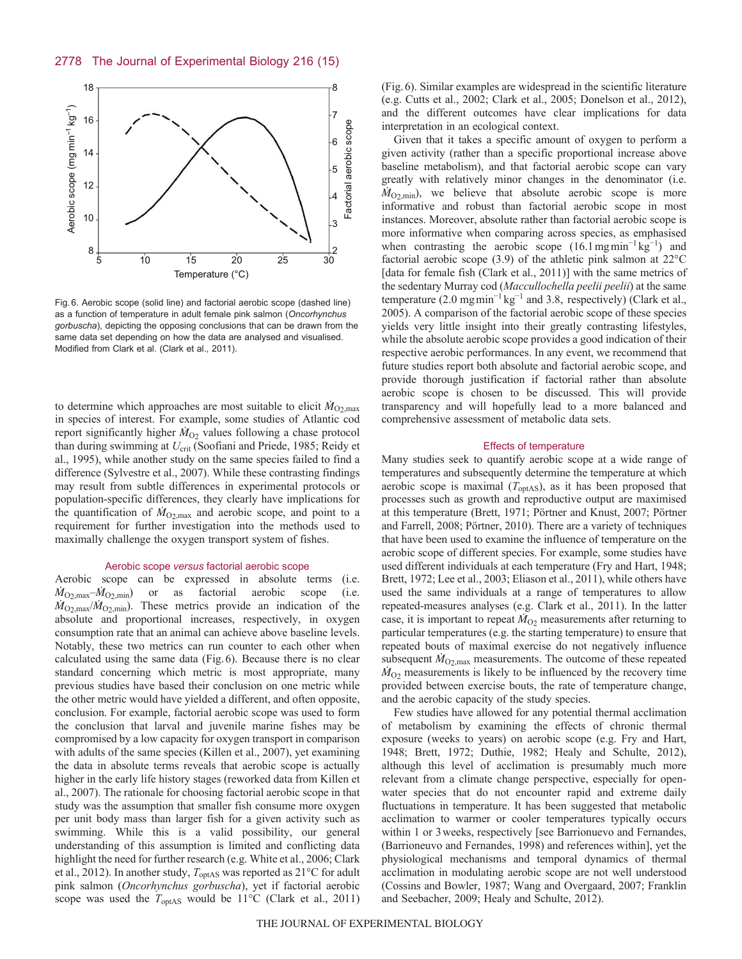

Fig. 6. Aerobic scope (solid line) and factorial aerobic scope (dashed line) as a function of temperature in adult female pink salmon (*Oncorhynchus gorbuscha*), depicting the opposing conclusions that can be drawn from the same data set depending on how the data are analysed and visualised. Modified from Clark et al. (Clark et al., 2011).

to determine which approaches are most suitable to elicit  $\dot{M}_{\text{O}_2,\text{max}}$ in species of interest. For example, some studies of Atlantic cod report significantly higher  $\dot{M}_{O_2}$  values following a chase protocol than during swimming at *U*<sub>crit</sub> (Soofiani and Priede, 1985; Reidy et al., 1995), while another study on the same species failed to find a difference (Sylvestre et al., 2007). While these contrasting findings may result from subtle differences in experimental protocols or population-specific differences, they clearly have implications for the quantification of  $\dot{M}_{\text{O2,max}}$  and aerobic scope, and point to a requirement for further investigation into the methods used to maximally challenge the oxygen transport system of fishes.

### Aerobic scope *versus* factorial aerobic scope

Aerobic scope can be expressed in absolute terms (i.e.  $\dot{M}_{\text{O}_2,\text{max}} - \dot{M}_{\text{O}_2,\text{min}}$  or as factorial aerobic scope (i.e.  $\dot{M}_{\text{O}_2,\text{max}}/\dot{M}_{\text{O}_2,\text{min}}$ ). These metrics provide an indication of the absolute and proportional increases, respectively, in oxygen consumption rate that an animal can achieve above baseline levels. Notably, these two metrics can run counter to each other when calculated using the same data (Fig.6). Because there is no clear standard concerning which metric is most appropriate, many previous studies have based their conclusion on one metric while the other metric would have yielded a different, and often opposite, conclusion. For example, factorial aerobic scope was used to form the conclusion that larval and juvenile marine fishes may be compromised by a low capacity for oxygen transport in comparison with adults of the same species (Killen et al., 2007), yet examining the data in absolute terms reveals that aerobic scope is actually higher in the early life history stages (reworked data from Killen et al., 2007). The rationale for choosing factorial aerobic scope in that study was the assumption that smaller fish consume more oxygen per unit body mass than larger fish for a given activity such as swimming. While this is a valid possibility, our general understanding of this assumption is limited and conflicting data highlight the need for further research (e.g. White et al., 2006; Clark et al., 2012). In another study,  $T_{\text{optAS}}$  was reported as  $21^{\circ}\text{C}$  for adult pink salmon (*Oncorhynchus gorbuscha*), yet if factorial aerobic scope was used the  $T_{optAS}$  would be 11°C (Clark et al., 2011) (Fig.6). Similar examples are widespread in the scientific literature (e.g. Cutts et al., 2002; Clark et al., 2005; Donelson et al., 2012), and the different outcomes have clear implications for data interpretation in an ecological context.

Given that it takes a specific amount of oxygen to perform a given activity (rather than a specific proportional increase above baseline metabolism), and that factorial aerobic scope can vary greatly with relatively minor changes in the denominator (i.e.  $\dot{M}_{\text{O2,min}}$ , we believe that absolute aerobic scope is more informative and robust than factorial aerobic scope in most instances. Moreover, absolute rather than factorial aerobic scope is more informative when comparing across species, as emphasised when contrasting the aerobic scope  $(16.1 \,\mathrm{mg\,min^{-1}kg^{-1}})$  and factorial aerobic scope (3.9) of the athletic pink salmon at 22°C [data for female fish (Clark et al., 2011)] with the same metrics of the sedentary Murray cod (*Maccullochella peelii peelii*) at the same temperature  $(2.0 \text{ mg min}^{-1} \text{kg}^{-1}$  and 3.8, respectively) (Clark et al., 2005). A comparison of the factorial aerobic scope of these species yields very little insight into their greatly contrasting lifestyles, while the absolute aerobic scope provides a good indication of their respective aerobic performances. In any event, we recommend that future studies report both absolute and factorial aerobic scope, and provide thorough justification if factorial rather than absolute aerobic scope is chosen to be discussed. This will provide transparency and will hopefully lead to a more balanced and comprehensive assessment of metabolic data sets.

#### Effects of temperature

Many studies seek to quantify aerobic scope at a wide range of temperatures and subsequently determine the temperature at which aerobic scope is maximal  $(T_{optAS})$ , as it has been proposed that processes such as growth and reproductive output are maximised at this temperature (Brett, 1971; Pörtner and Knust, 2007; Pörtner and Farrell, 2008; Pörtner, 2010). There are a variety of techniques that have been used to examine the influence of temperature on the aerobic scope of different species. For example, some studies have used different individuals at each temperature (Fry and Hart, 1948; Brett, 1972; Lee et al., 2003; Eliason et al., 2011), while others have used the same individuals at a range of temperatures to allow repeated-measures analyses (e.g. Clark et al., 2011). In the latter case, it is important to repeat  $\dot{M}_{\text{O2}}$  measurements after returning to particular temperatures (e.g. the starting temperature) to ensure that repeated bouts of maximal exercise do not negatively influence subsequent  $\dot{M}_{\text{O2,max}}$  measurements. The outcome of these repeated  $\dot{M}_{O2}$  measurements is likely to be influenced by the recovery time provided between exercise bouts, the rate of temperature change, and the aerobic capacity of the study species.

Few studies have allowed for any potential thermal acclimation of metabolism by examining the effects of chronic thermal exposure (weeks to years) on aerobic scope (e.g. Fry and Hart, 1948; Brett, 1972; Duthie, 1982; Healy and Schulte, 2012), although this level of acclimation is presumably much more relevant from a climate change perspective, especially for openwater species that do not encounter rapid and extreme daily fluctuations in temperature. It has been suggested that metabolic acclimation to warmer or cooler temperatures typically occurs within 1 or 3weeks, respectively [see Barrionuevo and Fernandes, (Barrioneuvo and Fernandes, 1998) and references within], yet the physiological mechanisms and temporal dynamics of thermal acclimation in modulating aerobic scope are not well understood (Cossins and Bowler, 1987; Wang and Overgaard, 2007; Franklin and Seebacher, 2009; Healy and Schulte, 2012).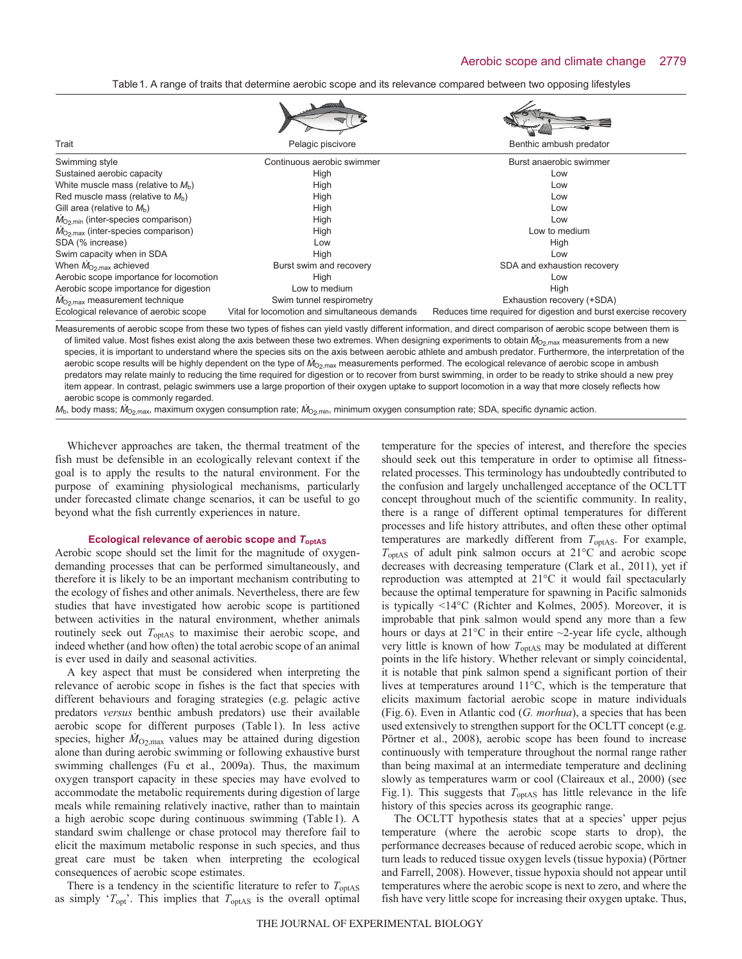Table1. A range of traits that determine aerobic scope and its relevance compared between two opposing lifestyles

| Trait                                                  | Pelagic piscivore                             | Benthic ambush predator                                         |
|--------------------------------------------------------|-----------------------------------------------|-----------------------------------------------------------------|
|                                                        |                                               |                                                                 |
| Sustained aerobic capacity                             | High                                          | Low                                                             |
| White muscle mass (relative to $Mb$ )                  | High                                          | Low                                                             |
| Red muscle mass (relative to $M_h$ )                   | High                                          | Low                                                             |
| Gill area (relative to $M_h$ )                         | High                                          | Low                                                             |
| $M_{\text{O}_2,\text{min}}$ (inter-species comparison) | High                                          | Low                                                             |
| $M_{\text{O2, max}}$ (inter-species comparison)        | High                                          | Low to medium                                                   |
| SDA (% increase)                                       | Low                                           | High                                                            |
| Swim capacity when in SDA                              | High                                          | Low                                                             |
| When $\dot{M}_{\text{O2, max}}$ achieved               | Burst swim and recovery                       | SDA and exhaustion recovery                                     |
| Aerobic scope importance for locomotion                | High                                          | Low                                                             |
| Aerobic scope importance for digestion                 | Low to medium                                 | High                                                            |
| $M_{\text{O2 max}}$ measurement technique              | Swim tunnel respirometry                      | Exhaustion recovery (+SDA)                                      |
| Ecological relevance of aerobic scope                  | Vital for locomotion and simultaneous demands | Reduces time required for digestion and burst exercise recovery |

Measurements of aerobic scope from these two types of fishes can yield vastly different information, and direct comparison of aerobic scope between them is of limited value. Most fishes exist along the axis between these two extremes. When designing experiments to obtain  $M_{\rm O_2,max}$  measurements from a new species, it is important to understand where the species sits on the axis between aerobic athlete and ambush predator. Furthermore, the interpretation of the aerobic scope results will be highly dependent on the type of  $M_{\odot, max}$  measurements performed. The ecological relevance of aerobic scope in ambush predators may relate mainly to reducing the time required for digestion or to recover from burst swimming, in order to be ready to strike should a new prey item appear. In contrast, pelagic swimmers use a large proportion of their oxygen uptake to support locomotion in a way that more closely reflects how aerobic scope is commonly regarded.

*M*<sub>b</sub>, body mass;  $M_{\odot}$ <sub>max</sub>, maximum oxygen consumption rate;  $M_{\odot}$ <sub>min</sub>, minimum oxygen consumption rate; SDA, specific dynamic action.

Whichever approaches are taken, the thermal treatment of the fish must be defensible in an ecologically relevant context if the goal is to apply the results to the natural environment. For the purpose of examining physiological mechanisms, particularly under forecasted climate change scenarios, it can be useful to go beyond what the fish currently experiences in nature.

## **Ecological relevance of aerobic scope and** *T***optAS**

Aerobic scope should set the limit for the magnitude of oxygendemanding processes that can be performed simultaneously, and therefore it is likely to be an important mechanism contributing to the ecology of fishes and other animals. Nevertheless, there are few studies that have investigated how aerobic scope is partitioned between activities in the natural environment, whether animals routinely seek out T<sub>optAS</sub> to maximise their aerobic scope, and indeed whether (and how often) the total aerobic scope of an animal is ever used in daily and seasonal activities.

A key aspect that must be considered when interpreting the relevance of aerobic scope in fishes is the fact that species with different behaviours and foraging strategies (e.g. pelagic active predators *versus* benthic ambush predators) use their available aerobic scope for different purposes (Table1). In less active species, higher  $\dot{M}_{O2, \text{max}}$  values may be attained during digestion alone than during aerobic swimming or following exhaustive burst swimming challenges (Fu et al., 2009a). Thus, the maximum oxygen transport capacity in these species may have evolved to accommodate the metabolic requirements during digestion of large meals while remaining relatively inactive, rather than to maintain a high aerobic scope during continuous swimming (Table1). A standard swim challenge or chase protocol may therefore fail to elicit the maximum metabolic response in such species, and thus great care must be taken when interpreting the ecological consequences of aerobic scope estimates.

There is a tendency in the scientific literature to refer to  $T_{\text{optAS}}$ as simply ' $T_{opt}$ '. This implies that  $T_{optAS}$  is the overall optimal temperature for the species of interest, and therefore the species should seek out this temperature in order to optimise all fitnessrelated processes. This terminology has undoubtedly contributed to the confusion and largely unchallenged acceptance of the OCLTT concept throughout much of the scientific community. In reality, there is a range of different optimal temperatures for different processes and life history attributes, and often these other optimal temperatures are markedly different from  $T_{\text{optAS}}$ . For example, *T*optAS of adult pink salmon occurs at 21°C and aerobic scope decreases with decreasing temperature (Clark et al., 2011), yet if reproduction was attempted at 21°C it would fail spectacularly because the optimal temperature for spawning in Pacific salmonids is typically <14°C (Richter and Kolmes, 2005). Moreover, it is improbable that pink salmon would spend any more than a few hours or days at 21°C in their entire ~2-year life cycle, although very little is known of how  $T_{optAS}$  may be modulated at different points in the life history. Whether relevant or simply coincidental, it is notable that pink salmon spend a significant portion of their lives at temperatures around 11°C, which is the temperature that elicits maximum factorial aerobic scope in mature individuals (Fig.6). Even in Atlantic cod (*G. morhua*), a species that has been used extensively to strengthen support for the OCLTT concept (e.g. Pörtner et al., 2008), aerobic scope has been found to increase continuously with temperature throughout the normal range rather than being maximal at an intermediate temperature and declining slowly as temperatures warm or cool (Claireaux et al., 2000) (see Fig.1). This suggests that  $T_{\text{optAS}}$  has little relevance in the life history of this species across its geographic range.

The OCLTT hypothesis states that at a species' upper pejus temperature (where the aerobic scope starts to drop), the performance decreases because of reduced aerobic scope, which in turn leads to reduced tissue oxygen levels (tissue hypoxia) (Pörtner and Farrell, 2008). However, tissue hypoxia should not appear until temperatures where the aerobic scope is next to zero, and where the fish have very little scope for increasing their oxygen uptake. Thus,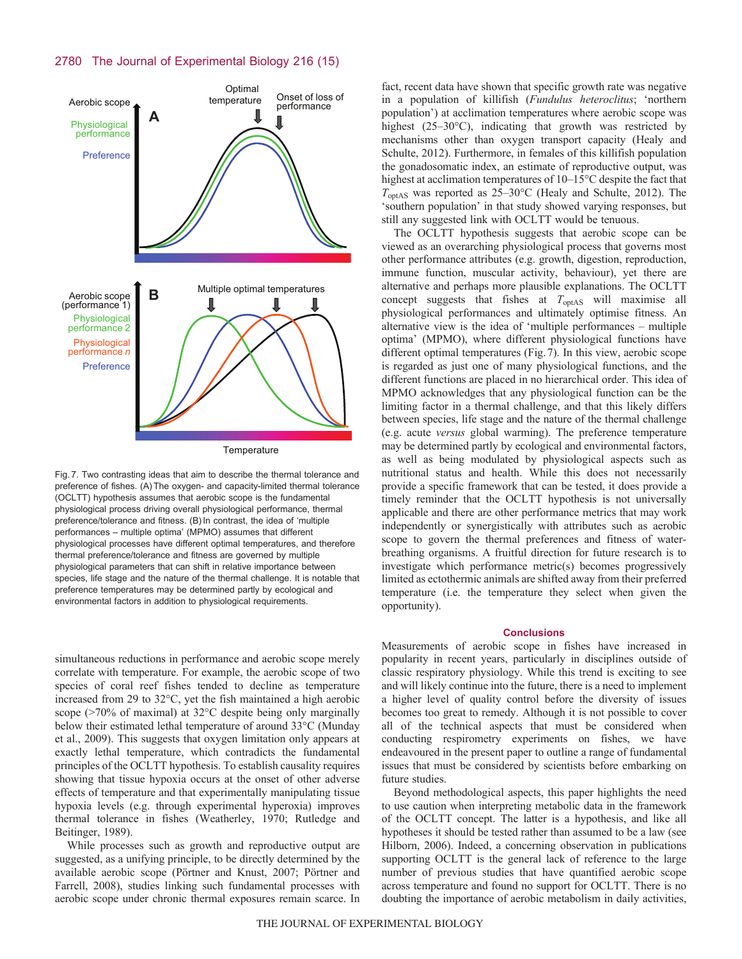

**Temperature** 

Fig. 7. Two contrasting ideas that aim to describe the thermal tolerance and preference of fishes. (A) The oxygen- and capacity-limited thermal tolerance (OCLTT) hypothesis assumes that aerobic scope is the fundamental physiological process driving overall physiological performance, thermal preference/tolerance and fitness. (B) In contrast, the idea of 'multiple performances – multiple optima' (MPMO) assumes that different physiological processes have different optimal temperatures, and therefore thermal preference/tolerance and fitness are governed by multiple physiological parameters that can shift in relative importance between species, life stage and the nature of the thermal challenge. It is notable that preference temperatures may be determined partly by ecological and environmental factors in addition to physiological requirements.

simultaneous reductions in performance and aerobic scope merely correlate with temperature. For example, the aerobic scope of two species of coral reef fishes tended to decline as temperature increased from 29 to 32°C, yet the fish maintained a high aerobic scope (>70% of maximal) at 32°C despite being only marginally below their estimated lethal temperature of around 33°C (Munday et al., 2009). This suggests that oxygen limitation only appears at exactly lethal temperature, which contradicts the fundamental principles of the OCLTT hypothesis. To establish causality requires showing that tissue hypoxia occurs at the onset of other adverse effects of temperature and that experimentally manipulating tissue hypoxia levels (e.g. through experimental hyperoxia) improves thermal tolerance in fishes (Weatherley, 1970; Rutledge and Beitinger, 1989).

While processes such as growth and reproductive output are suggested, as a unifying principle, to be directly determined by the available aerobic scope (Pörtner and Knust, 2007; Pörtner and Farrell, 2008), studies linking such fundamental processes with aerobic scope under chronic thermal exposures remain scarce. In fact, recent data have shown that specific growth rate was negative in a population of killifish (*Fundulus heteroclitus*; 'northern population') at acclimation temperatures where aerobic scope was highest (25–30°C), indicating that growth was restricted by mechanisms other than oxygen transport capacity (Healy and Schulte, 2012). Furthermore, in females of this killifish population the gonadosomatic index, an estimate of reproductive output, was highest at acclimation temperatures of 10–15°C despite the fact that *T*optAS was reported as 25–30°C (Healy and Schulte, 2012). The 'southern population' in that study showed varying responses, but still any suggested link with OCLTT would be tenuous.

The OCLTT hypothesis suggests that aerobic scope can be viewed as an overarching physiological process that governs most other performance attributes (e.g. growth, digestion, reproduction, immune function, muscular activity, behaviour), yet there are alternative and perhaps more plausible explanations. The OCLTT concept suggests that fishes at  $T_{\text{optAS}}$  will maximise all physiological performances and ultimately optimise fitness. An alternative view is the idea of 'multiple performances – multiple optima' (MPMO), where different physiological functions have different optimal temperatures (Fig.7). In this view, aerobic scope is regarded as just one of many physiological functions, and the different functions are placed in no hierarchical order. This idea of MPMO acknowledges that any physiological function can be the limiting factor in a thermal challenge, and that this likely differs between species, life stage and the nature of the thermal challenge (e.g. acute *versus* global warming). The preference temperature may be determined partly by ecological and environmental factors, as well as being modulated by physiological aspects such as nutritional status and health. While this does not necessarily provide a specific framework that can be tested, it does provide a timely reminder that the OCLTT hypothesis is not universally applicable and there are other performance metrics that may work independently or synergistically with attributes such as aerobic scope to govern the thermal preferences and fitness of waterbreathing organisms. A fruitful direction for future research is to investigate which performance metric(s) becomes progressively limited as ectothermic animals are shifted away from their preferred temperature (i.e. the temperature they select when given the opportunity).

### **Conclusions**

Measurements of aerobic scope in fishes have increased in popularity in recent years, particularly in disciplines outside of classic respiratory physiology. While this trend is exciting to see and will likely continue into the future, there is a need to implement a higher level of quality control before the diversity of issues becomes too great to remedy. Although it is not possible to cover all of the technical aspects that must be considered when conducting respirometry experiments on fishes, we have endeavoured in the present paper to outline a range of fundamental issues that must be considered by scientists before embarking on future studies.

Beyond methodological aspects, this paper highlights the need to use caution when interpreting metabolic data in the framework of the OCLTT concept. The latter is a hypothesis, and like all hypotheses it should be tested rather than assumed to be a law (see Hilborn, 2006). Indeed, a concerning observation in publications supporting OCLTT is the general lack of reference to the large number of previous studies that have quantified aerobic scope across temperature and found no support for OCLTT. There is no doubting the importance of aerobic metabolism in daily activities,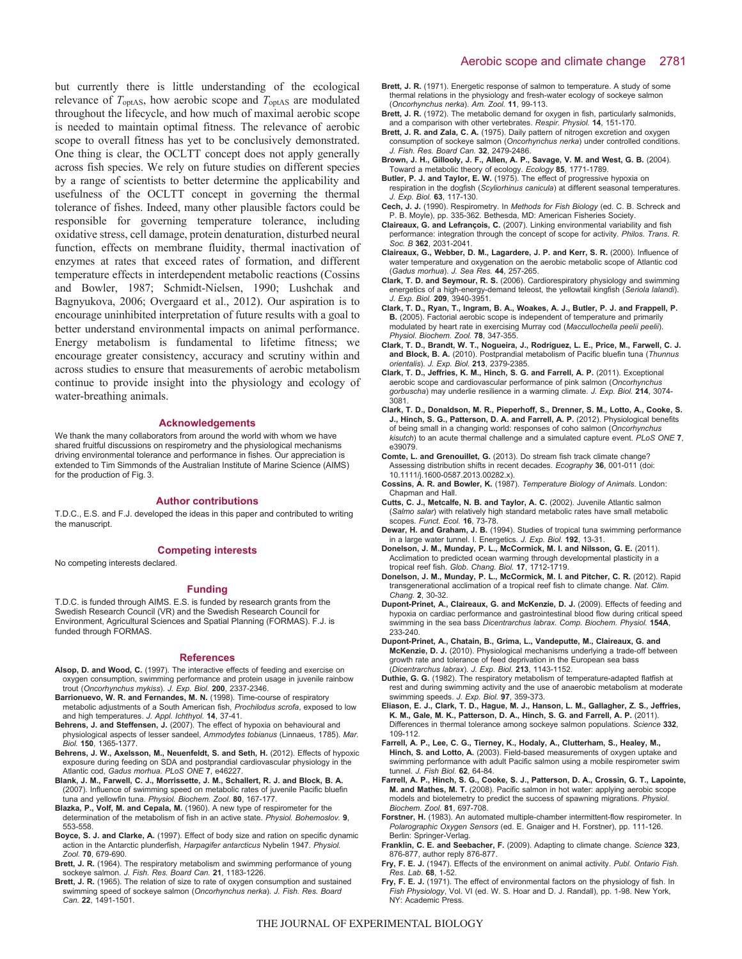but currently there is little understanding of the ecological relevance of  $T_{\text{optAS}}$ , how aerobic scope and  $T_{\text{optAS}}$  are modulated throughout the lifecycle, and how much of maximal aerobic scope is needed to maintain optimal fitness. The relevance of aerobic scope to overall fitness has yet to be conclusively demonstrated. One thing is clear, the OCLTT concept does not apply generally across fish species. We rely on future studies on different species by a range of scientists to better determine the applicability and usefulness of the OCLTT concept in governing the thermal tolerance of fishes. Indeed, many other plausible factors could be responsible for governing temperature tolerance, including oxidative stress, cell damage, protein denaturation, disturbed neural function, effects on membrane fluidity, thermal inactivation of enzymes at rates that exceed rates of formation, and different temperature effects in interdependent metabolic reactions (Cossins and Bowler, 1987; Schmidt-Nielsen, 1990; Lushchak and Bagnyukova, 2006; Overgaard et al., 2012). Our aspiration is to encourage uninhibited interpretation of future results with a goal to better understand environmental impacts on animal performance. Energy metabolism is fundamental to lifetime fitness; we encourage greater consistency, accuracy and scrutiny within and across studies to ensure that measurements of aerobic metabolism continue to provide insight into the physiology and ecology of water-breathing animals.

#### **Acknowledgements**

We thank the many collaborators from around the world with whom we have shared fruitful discussions on respirometry and the physiological mechanisms driving environmental tolerance and performance in fishes. Our appreciation is extended to Tim Simmonds of the Australian Institute of Marine Science (AIMS) for the production of Fig. 3.

#### **Author contributions**

T.D.C., E.S. and F.J. developed the ideas in this paper and contributed to writing the manuscript.

#### **Competing interests**

No competing interests declared.

#### **Funding**

T.D.C. is funded through AIMS. E.S. is funded by research grants from the Swedish Research Council (VR) and the Swedish Research Council for Environment, Agricultural Sciences and Spatial Planning (FORMAS). F.J. is funded through FORMAS.

#### **References**

- **Alsop, D. and Wood, C.** (1997). The interactive effects of feeding and exercise on oxygen consumption, swimming performance and protein usage in juvenile rainbow trout (*Oncorhynchus mykiss*). *J. Exp. Biol.* **200**, 2337-2346.
- **Barrionuevo, W. R. and Fernandes, M. N.** (1998). Time-course of respiratory metabolic adjustments of a South American fish, *Prochilodus scrofa*, exposed to low and high temperatures. *J. Appl. Ichthyol.* **14**, 37-41.
- **Behrens, J. and Steffensen, J.** (2007). The effect of hypoxia on behavioural and physiological aspects of lesser sandeel, *Ammodytes tobianus* (Linnaeus, 1785). *Mar. Biol.* **150**, 1365-1377.
- **Behrens, J. W., Axelsson, M., Neuenfeldt, S. and Seth, H.** (2012). Effects of hypoxic exposure during feeding on SDA and postprandial cardiovascular physiology in the Atlantic cod, *Gadus morhua*. *PLoS ONE* **7**, e46227.
- **Blank, J. M., Farwell, C. J., Morrissette, J. M., Schallert, R. J. and Block, B. A.** (2007). Influence of swimming speed on metabolic rates of juvenile Pacific bluefin tuna and yellowfin tuna. *Physiol. Biochem. Zool.* **80**, 167-177.
- **Blazka, P., Volf, M. and Cepala, M.** (1960). A new type of respirometer for the determination of the metabolism of fish in an active state. *Physiol. Bohemoslov.* **9**, 553-558.
- **Boyce, S. J. and Clarke, A.** (1997). Effect of body size and ration on specific dynamic action in the Antarctic plunderfish, *Harpagifer antarcticus* Nybelin 1947. *Physiol. Zool.* **70**, 679-690.
- **Brett, J. R.** (1964). The respiratory metabolism and swimming performance of young sockeye salmon. *J. Fish. Res. Board Can.* **21**, 1183-1226.
- **Brett, J. R.** (1965). The relation of size to rate of oxygen consumption and sustained swimming speed of sockeye salmon (*Oncorhynchus nerka*). *J. Fish. Res. Board Can.* **22**, 1491-1501.

### Aerobic scope and climate change 2781

- **Brett, J. R.** (1971). Energetic response of salmon to temperature. A study of some thermal relations in the physiology and fresh-water ecology of sockeye salmon (*Oncorhynchus nerka*). *Am. Zool.* **11**, 99-113.
- **Brett, J. R.** (1972). The metabolic demand for oxygen in fish, particularly salmonids, and a comparison with other vertebrates. *Respir. Physiol.* **14**, 151-170.
- **Brett, J. R. and Zala, C. A.** (1975). Daily pattern of nitrogen excretion and oxygen consumption of sockeye salmon (*Oncorhynchus nerka*) under controlled conditions. *J. Fish. Res. Board Can.* **32**, 2479-2486.
- **Brown, J. H., Gillooly, J. F., Allen, A. P., Savage, V. M. and West, G. B.** (2004). Toward a metabolic theory of ecology. *Ecology* **85**, 1771-1789.
- **Butler, P. J. and Taylor, E. W.** (1975). The effect of progressive hypoxia on respiration in the dogfish (*Scyliorhinus canicula*) at different seasonal temperatures. *J. Exp. Biol.* **63**, 117-130.
- **Cech, J. J.** (1990). Respirometry. In *Methods for Fish Biology* (ed. C. B. Schreck and P. B. Moyle), pp. 335-362. Bethesda, MD: American Fisheries Society.
- **Claireaux, G. and Lefrançois, C.** (2007). Linking environmental variability and fish performance: integration through the concept of scope for activity. *Philos. Trans. R. Soc. B* **362**, 2031-2041.
- **Claireaux, G., Webber, D. M., Lagardere, J. P. and Kerr, S. R.** (2000). Influence of water temperature and oxygenation on the aerobic metabolic scope of Atlantic cod (*Gadus morhua*). *J. Sea Res.* **44**, 257-265.
- **Clark, T. D. and Seymour, R. S.** (2006). Cardiorespiratory physiology and swimming energetics of a high-energy-demand teleost, the yellowtail kingfish (*Seriola lalandi*). *J. Exp. Biol.* **209**, 3940-3951.
- **Clark, T. D., Ryan, T., Ingram, B. A., Woakes, A. J., Butler, P. J. and Frappell, P. B.** (2005). Factorial aerobic scope is independent of temperature and primarily modulated by heart rate in exercising Murray cod (*Maccullochella peelii peelii*). *Physiol. Biochem. Zool.* **78**, 347-355.
- **Clark, T. D., Brandt, W. T., Nogueira, J., Rodriguez, L. E., Price, M., Farwell, C. J. and Block, B. A.** (2010). Postprandial metabolism of Pacific bluefin tuna (*Thunnus orientalis*). *J. Exp. Biol.* **213**, 2379-2385.
- **Clark, T. D., Jeffries, K. M., Hinch, S. G. and Farrell, A. P.** (2011). Exceptional aerobic scope and cardiovascular performance of pink salmon (*Oncorhynchus gorbuscha*) may underlie resilience in a warming climate. *J. Exp. Biol.* **214**, 3074- 3081.
- **Clark, T. D., Donaldson, M. R., Pieperhoff, S., Drenner, S. M., Lotto, A., Cooke, S. J., Hinch, S. G., Patterson, D. A. and Farrell, A. P.** (2012). Physiological benefits of being small in a changing world: responses of coho salmon (*Oncorhynchus kisutch*) to an acute thermal challenge and a simulated capture event. *PLoS ONE* **7**, e39079.
- **Comte, L. and Grenouillet, G.** (2013). Do stream fish track climate change? Assessing distribution shifts in recent decades. *Ecography* **36**, 001-011 (doi: 10.1111/j.1600-0587.2013.00282.x).
- **Cossins, A. R. and Bowler, K.** (1987). *Temperature Biology of Animals*. London: Chapman and Hall.
- **Cutts, C. J., Metcalfe, N. B. and Taylor, A. C.** (2002). Juvenile Atlantic salmon (*Salmo salar*) with relatively high standard metabolic rates have small metabolic scopes. *Funct. Ecol.* **16**, 73-78.
- **Dewar, H. and Graham, J. B.** (1994). Studies of tropical tuna swimming performance in a large water tunnel. I. Energetics. *J. Exp. Biol.* **192**, 13-31.
- **Donelson, J. M., Munday, P. L., McCormick, M. I. and Nilsson, G. E.** (2011). Acclimation to predicted ocean warming through developmental plasticity in a tropical reef fish. *Glob. Chang. Biol.* **17**, 1712-1719.
- **Donelson, J. M., Munday, P. L., McCormick, M. I. and Pitcher, C. R.** (2012). Rapid transgenerational acclimation of a tropical reef fish to climate change. *Nat. Clim. Chang.* **2**, 30-32.
- **Dupont-Prinet, A., Claireaux, G. and McKenzie, D. J.** (2009). Effects of feeding and hypoxia on cardiac performance and gastrointestinal blood flow during critical speed swimming in the sea bass *Dicentrarchus labrax. Comp. Biochem. Physiol.* **154A**, 233-240.
- **Dupont-Prinet, A., Chatain, B., Grima, L., Vandeputte, M., Claireaux, G. and McKenzie, D. J.** (2010). Physiological mechanisms underlying a trade-off between growth rate and tolerance of feed deprivation in the European sea bass (*Dicentrarchus labrax*). *J. Exp. Biol.* **213**, 1143-1152.
- **Duthie, G. G.** (1982). The respiratory metabolism of temperature-adapted flatfish at rest and during swimming activity and the use of anaerobic metabolism at moderate swimming speeds. *J. Exp. Biol.* **97**, 359-373.
- **Eliason, E. J., Clark, T. D., Hague, M. J., Hanson, L. M., Gallagher, Z. S., Jeffries, K. M., Gale, M. K., Patterson, D. A., Hinch, S. G. and Farrell, A. P.** (2011). Differences in thermal tolerance among sockeye salmon populations. *Science* **332**, 109-112.
- **Farrell, A. P., Lee, C. G., Tierney, K., Hodaly, A., Clutterham, S., Healey, M., Hinch, S. and Lotto, A.** (2003). Field-based measurements of oxygen uptake and swimming performance with adult Pacific salmon using a mobile respirometer swim tunnel. *J. Fish Biol.* **62**, 64-84.
- **Farrell, A. P., Hinch, S. G., Cooke, S. J., Patterson, D. A., Crossin, G. T., Lapointe, M. and Mathes, M. T.** (2008). Pacific salmon in hot water: applying aerobic scope models and biotelemetry to predict the success of spawning migrations. *Physiol. Biochem. Zool.* **81**, 697-708.
- Forstner, H. (1983). An automated multiple-chamber intermittent-flow respirometer. In *Polarographic Oxygen Sensors* (ed. E. Gnaiger and H. Forstner), pp. 111-126. Berlin: Springer-Verlag.
- **Franklin, C. E. and Seebacher, F.** (2009). Adapting to climate change. *Science* **323**, 876-877, author reply 876-877.
- **Fry, F. E. J.** (1947). Effects of the environment on animal activity. *Publ. Ontario Fish. Res. Lab.* **68**, 1-52.
- **Fry, F. E. J.** (1971). The effect of environmental factors on the physiology of fish. In *Fish Physiology*, Vol. VI (ed. W. S. Hoar and D. J. Randall), pp. 1-98. New York, NY: Academic Press.